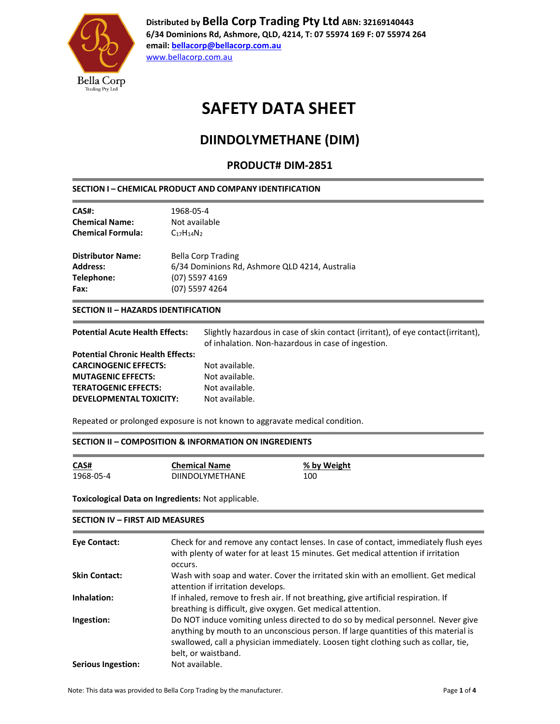

**Distributed by Bella Corp Trading Pty Ltd ABN: 32169140443 6/34 Dominions Rd, Ashmore, QLD, 4214, T: 07 55974 169 F: 07 55974 264 email: [bellacorp@bellacorp.com.au](mailto:bellacorp@bellacorp.com.au)** [www.bellacorp.com.au](http://www.bellacorp.com.au/)

## **SAFETY DATA SHEET**

## **DIINDOLYMETHANE (DIM)**

### **PRODUCT# DIM-2851**

#### **SECTION I – CHEMICAL PRODUCT AND COMPANY IDENTIFICATION**

| 1968-05-4<br>Not available<br>$C_{17}H_{14}N_{2}$ |  |
|---------------------------------------------------|--|
| Bella Corp Trading                                |  |
| 6/34 Dominions Rd, Ashmore QLD 4214, Australia    |  |
| (07) 5597 4169                                    |  |
| (07) 5597 4264                                    |  |
|                                                   |  |

#### **SECTION II – HAZARDS IDENTIFICATION**

| <b>Potential Acute Health Effects:</b>   | Slightly hazardous in case of skin contact (irritant), of eye contact (irritant),<br>of inhalation. Non-hazardous in case of ingestion. |
|------------------------------------------|-----------------------------------------------------------------------------------------------------------------------------------------|
| <b>Potential Chronic Health Effects:</b> |                                                                                                                                         |
| <b>CARCINOGENIC EFFECTS:</b>             | Not available.                                                                                                                          |
| <b>MUTAGENIC EFFECTS:</b>                | Not available.                                                                                                                          |
| <b>TERATOGENIC EFFECTS:</b>              | Not available.                                                                                                                          |
| DEVELOPMENTAL TOXICITY:                  | Not available.                                                                                                                          |
|                                          |                                                                                                                                         |

Repeated or prolonged exposure is not known to aggravate medical condition.

#### **SECTION II – COMPOSITION & INFORMATION ON INGREDIENTS**

| CAS#      | <b>Chemical Name</b>   | % b |
|-----------|------------------------|-----|
| 1968-05-4 | <b>DIINDOLYMETHANE</b> | 100 |

**SECTION IV – FIRST AID MEASURES**

**<u>% by Weight</u>** 

**Toxicological Data on Ingredients:** Not applicable.

| Eye Contact:              | Check for and remove any contact lenses. In case of contact, immediately flush eyes<br>with plenty of water for at least 15 minutes. Get medical attention if irritation<br>occurs.                                                                                                   |
|---------------------------|---------------------------------------------------------------------------------------------------------------------------------------------------------------------------------------------------------------------------------------------------------------------------------------|
| <b>Skin Contact:</b>      | Wash with soap and water. Cover the irritated skin with an emollient. Get medical<br>attention if irritation develops.                                                                                                                                                                |
| Inhalation:               | If inhaled, remove to fresh air. If not breathing, give artificial respiration. If<br>breathing is difficult, give oxygen. Get medical attention.                                                                                                                                     |
| Ingestion:                | Do NOT induce vomiting unless directed to do so by medical personnel. Never give<br>anything by mouth to an unconscious person. If large quantities of this material is<br>swallowed, call a physician immediately. Loosen tight clothing such as collar, tie,<br>belt, or waistband. |
| <b>Serious Ingestion:</b> | Not available.                                                                                                                                                                                                                                                                        |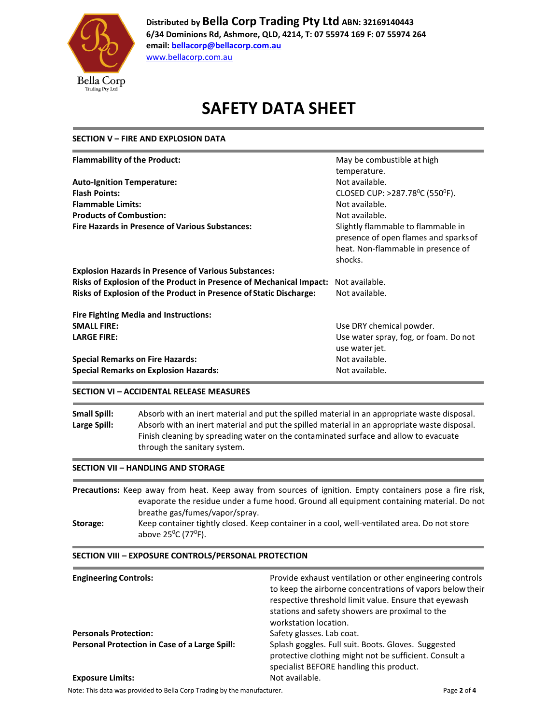

**Distributed by Bella Corp Trading Pty Ltd ABN: 32169140443 6/34 Dominions Rd, Ashmore, QLD, 4214, T: 07 55974 169 F: 07 55974 264 email: [bellacorp@bellacorp.com.au](mailto:bellacorp@bellacorp.com.au)** [www.bellacorp.com.au](http://www.bellacorp.com.au/)

**SAFETY DATA SHEET**

### **SECTION V – FIRE AND EXPLOSION DATA**

| <b>Flammability of the Product:</b>                                       | May be combustible at high                                                                                                   |
|---------------------------------------------------------------------------|------------------------------------------------------------------------------------------------------------------------------|
|                                                                           | temperature.                                                                                                                 |
| <b>Auto-Ignition Temperature:</b>                                         | Not available.                                                                                                               |
| <b>Flash Points:</b>                                                      | CLOSED CUP: >287.78 <sup>0</sup> C (550 <sup>0</sup> F).                                                                     |
| <b>Flammable Limits:</b>                                                  | Not available.                                                                                                               |
| <b>Products of Combustion:</b>                                            | Not available.                                                                                                               |
| <b>Fire Hazards in Presence of Various Substances:</b>                    | Slightly flammable to flammable in<br>presence of open flames and sparks of<br>heat. Non-flammable in presence of<br>shocks. |
| <b>Explosion Hazards in Presence of Various Substances:</b>               |                                                                                                                              |
| Risks of Explosion of the Product in Presence of Mechanical Impact:       | Not available.                                                                                                               |
| <b>Risks of Explosion of the Product in Presence of Static Discharge:</b> | Not available.                                                                                                               |
| <b>Fire Fighting Media and Instructions:</b>                              |                                                                                                                              |
| <b>SMALL FIRE:</b>                                                        | Use DRY chemical powder.                                                                                                     |
| <b>LARGE FIRE:</b>                                                        | Use water spray, fog, or foam. Do not<br>use water jet.                                                                      |
| <b>Special Remarks on Fire Hazards:</b>                                   | Not available.                                                                                                               |
| <b>Special Remarks on Explosion Hazards:</b>                              | Not available.                                                                                                               |

#### **SECTION VI – ACCIDENTAL RELEASE MEASURES**

**Small Spill:** Absorb with an inert material and put the spilled material in an appropriate waste disposal. **Large Spill:** Absorb with an inert material and put the spilled material in an appropriate waste disposal. Finish cleaning by spreading water on the contaminated surface and allow to evacuate through the sanitary system.

#### **SECTION VII – HANDLING AND STORAGE**

**Precautions:** Keep away from heat. Keep away from sources of ignition. Empty containers pose a fire risk, evaporate the residue under a fume hood. Ground all equipment containing material. Do not breathe gas/fumes/vapor/spray. **Storage:** Keep container tightly closed. Keep container in a cool, well-ventilated area. Do not store above 25<sup>0</sup>C (77<sup>0</sup>F).

### **SECTION VIII – EXPOSURE CONTROLS/PERSONAL PROTECTION Engineering Controls:** Provide exhaust ventilation or other engineering controls to keep the airborne concentrations of vapors belowtheir respective threshold limit value. Ensure that eyewash stations and safety showers are proximal to the workstation location. **Personals Protection:** Safety glasses. Lab coat. **Personal Protection in Case of a Large Spill: Splash goggles. Full suit. Boots. Gloves. Suggested** protective clothing might not be sufficient. Consult a specialist BEFORE handling this product. **Exposure Limits:** Not available.

Note: This data was provided to Bella Corp Trading by the manufacturer. **Page 2** of 4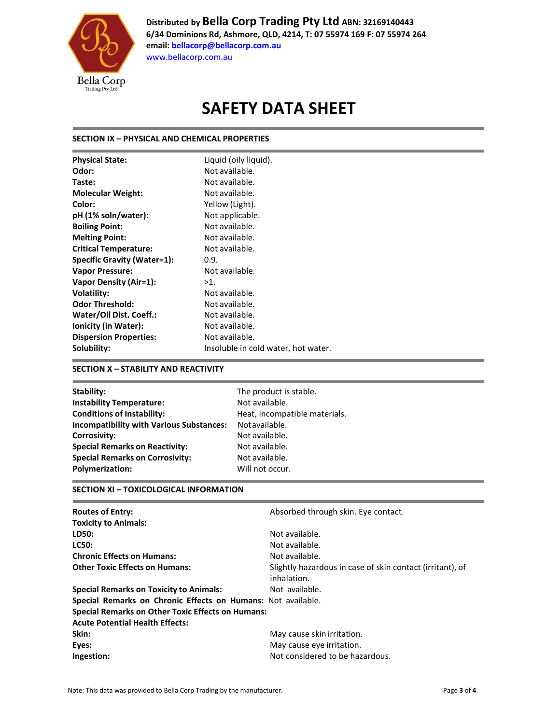

**Distributed by Bella Corp Trading Pty Ltd ABN: 32169140443 6/34 Dominions Rd, Ashmore, QLD, 4214, T: 07 55974 169 F: 07 55974 264 email: [bellacorp@bellacorp.com.au](mailto:bellacorp@bellacorp.com.au)**

[www.bellacorp.com.au](http://www.bellacorp.com.au/)

## **SAFETY DATA SHEET**

#### **SECTION IX – PHYSICAL AND CHEMICAL PROPERTIES**

| <b>Physical State:</b>             | Liquid (oily liquid).               |
|------------------------------------|-------------------------------------|
| Odor:                              | Not available.                      |
| Taste:                             | Not available.                      |
| <b>Molecular Weight:</b>           | Not available.                      |
| Color:                             | Yellow (Light).                     |
| pH (1% soln/water):                | Not applicable.                     |
| <b>Boiling Point:</b>              | Not available.                      |
| <b>Melting Point:</b>              | Not available.                      |
| <b>Critical Temperature:</b>       | Not available.                      |
| <b>Specific Gravity (Water=1):</b> | 0.9.                                |
| <b>Vapor Pressure:</b>             | Not available.                      |
| <b>Vapor Density (Air=1):</b>      | $>1$ .                              |
| <b>Volatility:</b>                 | Not available.                      |
| <b>Odor Threshold:</b>             | Not available.                      |
| Water/Oil Dist. Coeff.:            | Not available.                      |
| Ionicity (in Water):               | Not available.                      |
| <b>Dispersion Properties:</b>      | Not available.                      |
| Solubility:                        | Insoluble in cold water, hot water. |

#### **SECTION X – STABILITY AND REACTIVITY**

| Stability:                                      | The product is stable.        |
|-------------------------------------------------|-------------------------------|
| <b>Instability Temperature:</b>                 | Not available.                |
| <b>Conditions of Instability:</b>               | Heat, incompatible materials. |
| <b>Incompatibility with Various Substances:</b> | Not available.                |
| Corrosivity:                                    | Not available.                |
| <b>Special Remarks on Reactivity:</b>           | Not available.                |
| <b>Special Remarks on Corrosivity:</b>          | Not available.                |
| <b>Polymerization:</b>                          | Will not occur.               |
|                                                 |                               |

#### **SECTION XI – TOXICOLOGICAL INFORMATION**

| <b>Routes of Entry:</b>                                      | Absorbed through skin. Eye contact.                                      |
|--------------------------------------------------------------|--------------------------------------------------------------------------|
| <b>Toxicity to Animals:</b>                                  |                                                                          |
| LD50:                                                        | Not available.                                                           |
| <b>LC50:</b>                                                 | Not available.                                                           |
| <b>Chronic Effects on Humans:</b>                            | Not available.                                                           |
| <b>Other Toxic Effects on Humans:</b>                        | Slightly hazardous in case of skin contact (irritant), of<br>inhalation. |
| <b>Special Remarks on Toxicity to Animals:</b>               | Not available.                                                           |
| Special Remarks on Chronic Effects on Humans: Not available. |                                                                          |
| <b>Special Remarks on Other Toxic Effects on Humans:</b>     |                                                                          |
| <b>Acute Potential Health Effects:</b>                       |                                                                          |
| Skin:                                                        | May cause skin irritation.                                               |
| Eyes:                                                        | May cause eye irritation.                                                |
| Ingestion:                                                   | Not considered to be hazardous.                                          |